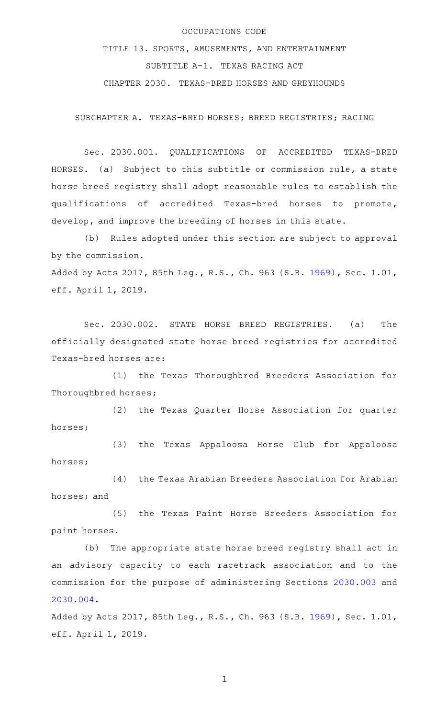## OCCUPATIONS CODE

TITLE 13. SPORTS, AMUSEMENTS, AND ENTERTAINMENT SUBTITLE A-1. TEXAS RACING ACT CHAPTER 2030. TEXAS-BRED HORSES AND GREYHOUNDS

SUBCHAPTER A. TEXAS-BRED HORSES; BREED REGISTRIES; RACING

Sec. 2030.001. QUALIFICATIONS OF ACCREDITED TEXAS-BRED HORSES. (a) Subject to this subtitle or commission rule, a state horse breed registry shall adopt reasonable rules to establish the qualifications of accredited Texas-bred horses to promote, develop, and improve the breeding of horses in this state.

(b) Rules adopted under this section are subject to approval by the commission. Added by Acts 2017, 85th Leg., R.S., Ch. 963 (S.B. [1969](http://www.legis.state.tx.us/tlodocs/85R/billtext/html/SB01969F.HTM)), Sec. 1.01, eff. April 1, 2019.

Sec. 2030.002. STATE HORSE BREED REGISTRIES. (a) The officially designated state horse breed registries for accredited Texas-bred horses are:

(1) the Texas Thoroughbred Breeders Association for Thoroughbred horses;

(2) the Texas Quarter Horse Association for quarter horses;

(3) the Texas Appaloosa Horse Club for Appaloosa horses;

(4) the Texas Arabian Breeders Association for Arabian horses; and

(5) the Texas Paint Horse Breeders Association for paint horses.

(b) The appropriate state horse breed registry shall act in an advisory capacity to each racetrack association and to the commission for the purpose of administering Sections [2030.003](http://www.statutes.legis.state.tx.us/GetStatute.aspx?Code=OC&Value=2030.003) and [2030.004](http://www.statutes.legis.state.tx.us/GetStatute.aspx?Code=OC&Value=2030.004).

Added by Acts 2017, 85th Leg., R.S., Ch. 963 (S.B. [1969](http://www.legis.state.tx.us/tlodocs/85R/billtext/html/SB01969F.HTM)), Sec. 1.01, eff. April 1, 2019.

1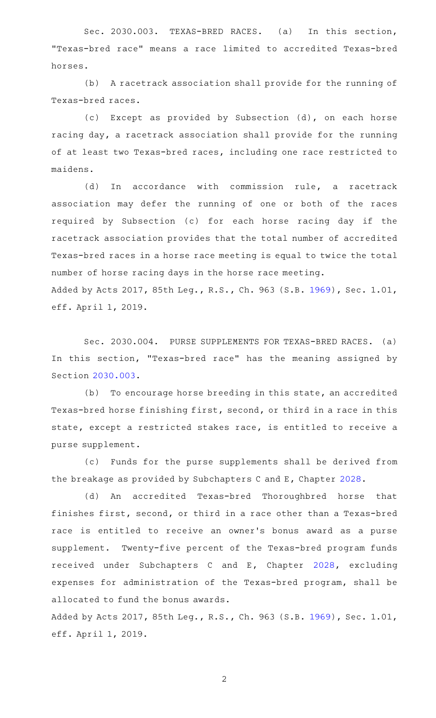Sec. 2030.003. TEXAS-BRED RACES. (a) In this section, "Texas-bred race" means a race limited to accredited Texas-bred horses.

(b) A racetrack association shall provide for the running of Texas-bred races.

(c) Except as provided by Subsection (d), on each horse racing day, a racetrack association shall provide for the running of at least two Texas-bred races, including one race restricted to maidens.

(d) In accordance with commission rule, a racetrack association may defer the running of one or both of the races required by Subsection (c) for each horse racing day if the racetrack association provides that the total number of accredited Texas-bred races in a horse race meeting is equal to twice the total number of horse racing days in the horse race meeting. Added by Acts 2017, 85th Leg., R.S., Ch. 963 (S.B. [1969](http://www.legis.state.tx.us/tlodocs/85R/billtext/html/SB01969F.HTM)), Sec. 1.01, eff. April 1, 2019.

Sec. 2030.004. PURSE SUPPLEMENTS FOR TEXAS-BRED RACES. (a) In this section, "Texas-bred race" has the meaning assigned by Section [2030.003](http://www.statutes.legis.state.tx.us/GetStatute.aspx?Code=OC&Value=2030.003).

(b) To encourage horse breeding in this state, an accredited Texas-bred horse finishing first, second, or third in a race in this state, except a restricted stakes race, is entitled to receive a purse supplement.

(c) Funds for the purse supplements shall be derived from the breakage as provided by Subchapters C and E, Chapter [2028](http://www.statutes.legis.state.tx.us/GetStatute.aspx?Code=OC&Value=2028).

(d) An accredited Texas-bred Thoroughbred horse that finishes first, second, or third in a race other than a Texas-bred race is entitled to receive an owner 's bonus award as a purse supplement. Twenty-five percent of the Texas-bred program funds received under Subchapters C and E, Chapter [2028,](http://www.statutes.legis.state.tx.us/GetStatute.aspx?Code=OC&Value=2028) excluding expenses for administration of the Texas-bred program, shall be allocated to fund the bonus awards.

Added by Acts 2017, 85th Leg., R.S., Ch. 963 (S.B. [1969](http://www.legis.state.tx.us/tlodocs/85R/billtext/html/SB01969F.HTM)), Sec. 1.01, eff. April 1, 2019.

2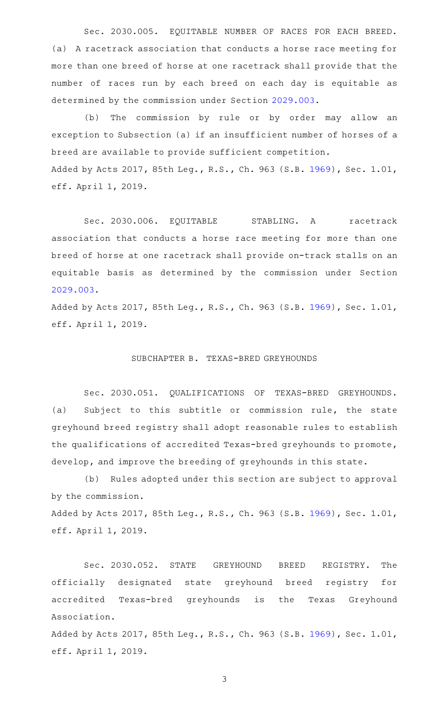Sec. 2030.005. EQUITABLE NUMBER OF RACES FOR EACH BREED. (a) A racetrack association that conducts a horse race meeting for more than one breed of horse at one racetrack shall provide that the number of races run by each breed on each day is equitable as determined by the commission under Section [2029.003.](http://www.statutes.legis.state.tx.us/GetStatute.aspx?Code=OC&Value=2029.003)

(b) The commission by rule or by order may allow an exception to Subsection (a) if an insufficient number of horses of a breed are available to provide sufficient competition. Added by Acts 2017, 85th Leg., R.S., Ch. 963 (S.B. [1969](http://www.legis.state.tx.us/tlodocs/85R/billtext/html/SB01969F.HTM)), Sec. 1.01, eff. April 1, 2019.

Sec. 2030.006. EQUITABLE STABLING. A racetrack association that conducts a horse race meeting for more than one breed of horse at one racetrack shall provide on-track stalls on an equitable basis as determined by the commission under Section [2029.003](http://www.statutes.legis.state.tx.us/GetStatute.aspx?Code=OC&Value=2029.003).

Added by Acts 2017, 85th Leg., R.S., Ch. 963 (S.B. [1969](http://www.legis.state.tx.us/tlodocs/85R/billtext/html/SB01969F.HTM)), Sec. 1.01, eff. April 1, 2019.

## SUBCHAPTER B. TEXAS-BRED GREYHOUNDS

Sec. 2030.051. QUALIFICATIONS OF TEXAS-BRED GREYHOUNDS. (a) Subject to this subtitle or commission rule, the state greyhound breed registry shall adopt reasonable rules to establish the qualifications of accredited Texas-bred greyhounds to promote, develop, and improve the breeding of greyhounds in this state.

(b) Rules adopted under this section are subject to approval by the commission.

Added by Acts 2017, 85th Leg., R.S., Ch. 963 (S.B. [1969](http://www.legis.state.tx.us/tlodocs/85R/billtext/html/SB01969F.HTM)), Sec. 1.01, eff. April 1, 2019.

Sec. 2030.052. STATE GREYHOUND BREED REGISTRY. The officially designated state greyhound breed registry for accredited Texas-bred greyhounds is the Texas Greyhound Association.

Added by Acts 2017, 85th Leg., R.S., Ch. 963 (S.B. [1969](http://www.legis.state.tx.us/tlodocs/85R/billtext/html/SB01969F.HTM)), Sec. 1.01, eff. April 1, 2019.

3